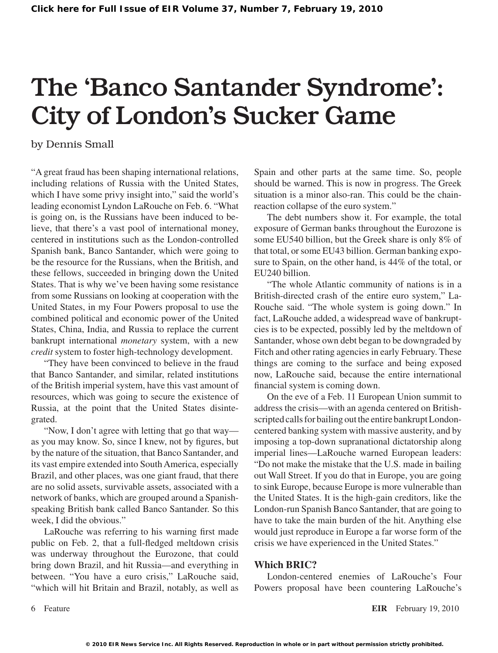# The 'Banco Santander Syndrome': City of London's Sucker Game

by Dennis Small

"A great fraud has been shaping international relations, including relations of Russia with the United States, which I have some privy insight into," said the world's leading economist Lyndon LaRouche on Feb. 6. "What is going on, is the Russians have been induced to believe, that there's a vast pool of international money, centered in institutions such as the London-controlled Spanish bank, Banco Santander, which were going to be the resource for the Russians, when the British, and these fellows, succeeded in bringing down the United States. That is why we've been having some resistance from some Russians on looking at cooperation with the United States, in my Four Powers proposal to use the combined political and economic power of the United States, China, India, and Russia to replace the current bankrupt international *monetary* system, with a new *credit* system to foster high-technology development.

"They have been convinced to believe in the fraud that Banco Santander, and similar, related institutions of the British imperial system, have this vast amount of resources, which was going to secure the existence of Russia, at the point that the United States disintegrated.

"Now, I don't agree with letting that go that way as you may know. So, since I knew, not by figures, but by the nature of the situation, that Banco Santander, and its vast empire extended into SouthAmerica, especially Brazil, and other places, was one giant fraud, that there are no solid assets, survivable assets, associated with a network of banks, which are grouped around a Spanishspeaking British bank called Banco Santander. So this week, I did the obvious."

LaRouche was referring to his warning first made public on Feb. 2, that a full-fledged meltdown crisis was underway throughout the Eurozone, that could bring down Brazil, and hit Russia—and everything in between. "You have a euro crisis," LaRouche said, "which will hit Britain and Brazil, notably, as well as Spain and other parts at the same time. So, people should be warned. This is now in progress. The Greek situation is a minor also-ran. This could be the chainreaction collapse of the euro system."

The debt numbers show it. For example, the total exposure of German banks throughout the Eurozone is some EU540 billion, but the Greek share is only 8% of that total, or some EU43 billion. German banking exposure to Spain, on the other hand, is 44% of the total, or EU240 billion.

"The whole Atlantic community of nations is in a British-directed crash of the entire euro system," La-Rouche said. "The whole system is going down." In fact, LaRouche added, a widespread wave of bankruptcies is to be expected, possibly led by the meltdown of Santander, whose own debt began to be downgraded by Fitch and other rating agencies in early February. These things are coming to the surface and being exposed now, LaRouche said, because the entire international financial system is coming down.

On the eve of a Feb. 11 European Union summit to address the crisis—with an agenda centered on Britishscripted calls for bailing out the entire bankrupt Londoncentered banking system with massive austerity, and by imposing a top-down supranational dictatorship along imperial lines—LaRouche warned European leaders: "Do not make the mistake that the U.S. made in bailing out Wall Street. If you do that in Europe, you are going to sink Europe, because Europe is more vulnerable than the United States. It is the high-gain creditors, like the London-run Spanish Banco Santander, that are going to have to take the main burden of the hit. Anything else would just reproduce in Europe a far worse form of the crisis we have experienced in the United States."

### **Which BRIC?**

London-centered enemies of LaRouche's Four Powers proposal have been countering LaRouche's

Feature **EIR** February 19, 2010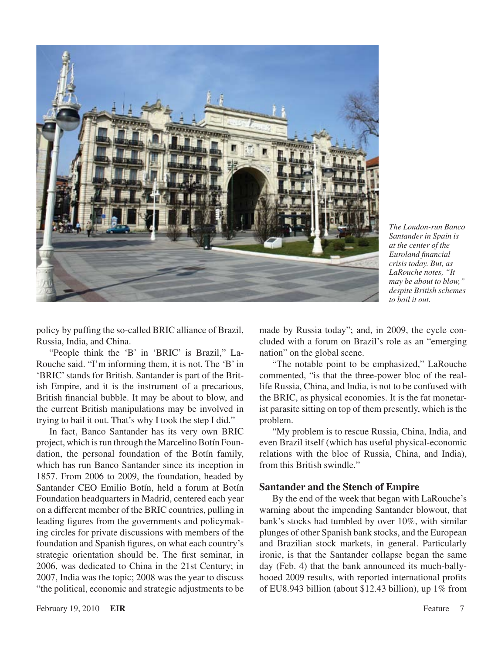

*The London-run Banco Santander in Spain is at the center of the Euroland financial crisis today. But, as LaRouche notes, "It may be about to blow," despite British schemes to bail it out.*

policy by puffing the so-called BRIC alliance of Brazil, Russia, India, and China.

"People think the 'B' in 'BRIC' is Brazil," La-Rouche said. "I'm informing them, it is not. The 'B' in 'BRIC'stands for British. Santander is part of the British Empire, and it is the instrument of a precarious, British financial bubble. It may be about to blow, and the current British manipulations may be involved in trying to bail it out. That's why I took the step I did."

In fact, Banco Santander has its very own BRIC project, which is run through the Marcelino Botín Foundation, the personal foundation of the Botín family, which has run Banco Santander since its inception in 1857. From 2006 to 2009, the foundation, headed by Santander CEO Emilio Botín, held a forum at Botín Foundation headquarters in Madrid, centered each year on a different member of the BRIC countries, pulling in leading figures from the governments and policymaking circles for private discussions with members of the foundation and Spanish figures, on what each country's strategic orientation should be. The first seminar, in 2006, was dedicated to China in the 21st Century; in 2007, India was the topic; 2008 was the year to discuss "the political, economic and strategic adjustments to be made by Russia today"; and, in 2009, the cycle concluded with a forum on Brazil's role as an "emerging nation" on the global scene.

"The notable point to be emphasized," LaRouche commented, "is that the three-power bloc of the reallife Russia, China, and India, is not to be confused with the BRIC, as physical economies. It is the fat monetarist parasite sitting on top of them presently, which is the problem.

"My problem is to rescue Russia, China, India, and even Brazil itself (which has useful physical-economic relations with the bloc of Russia, China, and India), from this British swindle."

#### **Santander and the Stench of Empire**

By the end of the week that began with LaRouche's warning about the impending Santander blowout, that bank's stocks had tumbled by over 10%, with similar plunges of other Spanish bank stocks, and the European and Brazilian stock markets, in general. Particularly ironic, is that the Santander collapse began the same day (Feb. 4) that the bank announced its much-ballyhooed 2009 results, with reported international profits of EU8.943 billion (about \$12.43 billion), up 1% from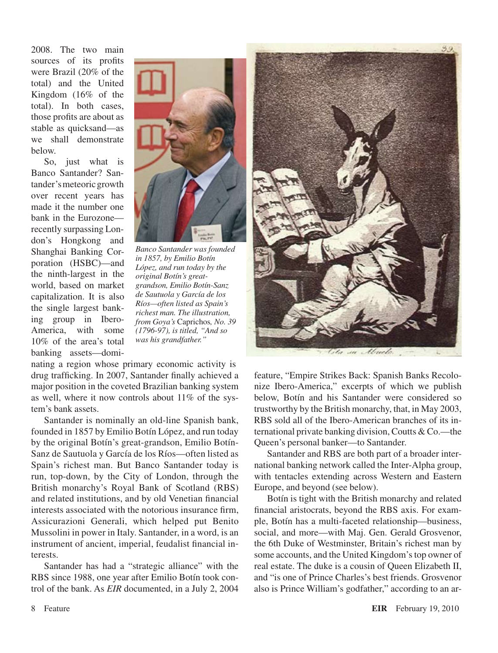2008. The two main sources of its profits were Brazil (20% of the total) and the United Kingdom (16% of the total). In both cases, those profits are about as stable as quicksand—as we shall demonstrate below.

So, just what is Banco Santander? Santander's meteoric growth over recent years has made it the number one bank in the Eurozone recently surpassing London's Hongkong and Shanghai Banking Corporation (HSBC)—and the ninth-largest in the world, based on market capitalization. It is also the single largest banking group in Ibero-America, with some 10% of the area's total banking assets—domi-



*Banco Santander was founded in 1857, by Emilio Botín López, and run today by the original Botín's greatgrandson, Emilio Botín-Sanz de Sautuola y García de los Ríos—often listed as Spain's richest man. The illustration, from Goya's* Caprichos*, No. 39 (1796-97), is titled, "And so was his grandfather."*

nating a region whose primary economic activity is drug trafficking. In 2007, Santander finally achieved a major position in the coveted Brazilian banking system as well, where it now controls about 11% of the system's bank assets.

Santander is nominally an old-line Spanish bank, founded in 1857 by Emilio Botín López, and run today by the original Botín's great-grandson, Emilio Botín-Sanz de Sautuola y García de los Ríos—often listed as Spain's richest man. But Banco Santander today is run, top-down, by the City of London, through the British monarchy's Royal Bank of Scotland (RBS) and related institutions, and by old Venetian financial interests associated with the notorious insurance firm, Assicurazioni Generali, which helped put Benito Mussolini in power in Italy. Santander, in a word, is an instrument of ancient, imperial, feudalist financial interests.

Santander has had a "strategic alliance" with the RBS since 1988, one year after Emilio Botín took control of the bank. As *EIR* documented, in a July 2, 2004



feature, "Empire Strikes Back: Spanish Banks Recolonize Ibero-America," excerpts of which we publish below, Botín and his Santander were considered so trustworthy by the British monarchy, that, in May 2003, RBS sold all of the Ibero-American branches of its international private banking division, Coutts & Co.—the Queen's personal banker—to Santander.

Santander and RBS are both part of a broader international banking network called the Inter-Alpha group, with tentacles extending across Western and Eastern Europe, and beyond (see below).

Botín is tight with the British monarchy and related financial aristocrats, beyond the RBS axis. For example, Botín has a multi-faceted relationship—business, social, and more—with Maj. Gen. Gerald Grosvenor, the 6th Duke of Westminster, Britain's richest man by some accounts, and the United Kingdom'stop owner of real estate. The duke is a cousin of Queen Elizabeth II, and "is one of Prince Charles's best friends. Grosvenor also is Prince William's godfather," according to an ar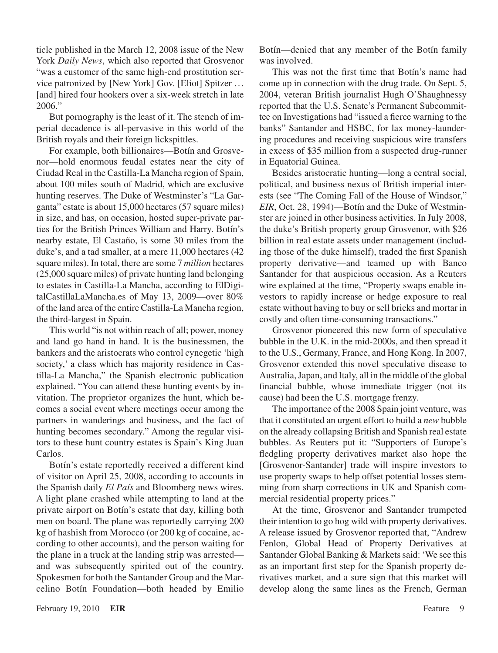ticle published in the March 12, 2008 issue of the New York *Daily News*, which also reported that Grosvenor "was a customer of the same high-end prostitution service patronized by [New York] Gov. [Eliot] Spitzer . . . [and] hired four hookers over a six-week stretch in late 2006."

But pornography is the least of it. The stench of imperial decadence is all-pervasive in this world of the British royals and their foreign lickspittles.

For example, both billionaires—Botín and Grosvenor—hold enormous feudal estates near the city of Ciudad Real in the Castilla-La Mancha region of Spain, about 100 miles south of Madrid, which are exclusive hunting reserves. The Duke of Westminster's "La Garganta" estate is about 15,000 hectares (57 square miles) in size, and has, on occasion, hosted super-private parties for the British Princes William and Harry. Botín's nearby estate, El Castaño, is some 30 miles from the duke's, and a tad smaller, at a mere 11,000 hectares (42 square miles). In total, there are some 7 *million* hectares (25,000 square miles) of private hunting land belonging to estates in Castilla-La Mancha, according to ElDigitalCastillaLaMancha.es of May 13, 2009—over 80% of the land area of the entire Castilla-La Mancha region, the third-largest in Spain.

This world "is not within reach of all; power, money and land go hand in hand. It is the businessmen, the bankers and the aristocrats who control cynegetic 'high society,' a class which has majority residence in Castilla-La Mancha," the Spanish electronic publication explained. "You can attend these hunting events by invitation. The proprietor organizes the hunt, which becomes a social event where meetings occur among the partners in wanderings and business, and the fact of hunting becomes secondary." Among the regular visitors to these hunt country estates is Spain's King Juan Carlos.

Botín's estate reportedly received a different kind of visitor on April 25, 2008, according to accounts in the Spanish daily *El País* and Bloomberg news wires. A light plane crashed while attempting to land at the private airport on Botín's estate that day, killing both men on board. The plane was reportedly carrying 200 kg of hashish from Morocco (or 200 kg of cocaine, according to other accounts), and the person waiting for the plane in a truck at the landing strip was arrested and was subsequently spirited out of the country. Spokesmen for both the Santander Group and the Marcelino Botín Foundation—both headed by Emilio

Botín—denied that any member of the Botín family was involved.

This was not the first time that Botín's name had come up in connection with the drug trade. On Sept. 5, 2004, veteran British journalist Hugh O'Shaughnessy reported that the U.S. Senate's Permanent Subcommittee on Investigations had "issued a fierce warning to the banks" Santander and HSBC, for lax money-laundering procedures and receiving suspicious wire transfers in excess of \$35 million from a suspected drug-runner in Equatorial Guinea.

Besides aristocratic hunting—long a central social, political, and business nexus of British imperial interests (see "The Coming Fall of the House of Windsor," *EIR*, Oct. 28, 1994)—Botín and the Duke of Westminster are joined in other business activities. In July 2008, the duke's British property group Grosvenor, with \$26 billion in real estate assets under management (including those of the duke himself), traded the first Spanish property derivative—and teamed up with Banco Santander for that auspicious occasion. As a Reuters wire explained at the time, "Property swaps enable investors to rapidly increase or hedge exposure to real estate without having to buy orsell bricks and mortar in costly and often time-consuming transactions."

Grosvenor pioneered this new form of speculative bubble in the U.K. in the mid-2000s, and then spread it to the U.S., Germany, France, and Hong Kong. In 2007, Grosvenor extended this novel speculative disease to Australia, Japan, and Italy, all in the middle of the global financial bubble, whose immediate trigger (not its cause) had been the U.S. mortgage frenzy.

The importance of the 2008 Spain joint venture, was that it constituted an urgent effort to build a *new* bubble on the already collapsing British and Spanish real estate bubbles. As Reuters put it: "Supporters of Europe's fledgling property derivatives market also hope the [Grosvenor-Santander] trade will inspire investors to use property swaps to help offset potential losses stemming from sharp corrections in UK and Spanish commercial residential property prices."

At the time, Grosvenor and Santander trumpeted their intention to go hog wild with property derivatives. A release issued by Grosvenor reported that, "Andrew Fenlon, Global Head of Property Derivatives at Santander Global Banking & Markets said: 'We see this as an important first step for the Spanish property derivatives market, and a sure sign that this market will develop along the same lines as the French, German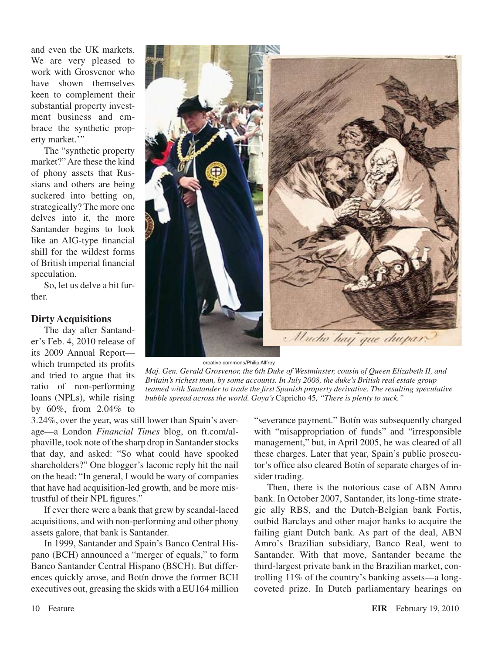and even the UK markets. We are very pleased to work with Grosvenor who have shown themselves keen to complement their substantial property investment business and embrace the synthetic property market."

The "synthetic property market?"Are these the kind of phony assets that Russians and others are being suckered into betting on, strategically? The more one delves into it, the more Santander begins to look like an AIG-type financial shill for the wildest forms of British imperial financial speculation.

So, let us delve a bit further.

### **Dirty Acquisitions**

The day after Santander's Feb. 4, 2010 release of its 2009 Annual Report which trumpeted its profits and tried to argue that its ratio of non-performing loans (NPLs), while rising by 60%, from 2.04% to



creative commons/Philip Allfrey

*Maj. Gen. Gerald Grosvenor, the 6th Duke of Westminster, cousin of Queen Elizabeth II, and Britain's richest man, by some accounts. In July 2008, the duke's British real estate group teamed with Santander to trade the first Spanish property derivative. The resulting speculative bubble spread across the world. Goya's* Capricho 45*, "There is plenty to suck."*

3.24%, over the year, was still lower than Spain's average—a London *Financial Times* blog, on ft.com/alphaville, took note of the sharp drop in Santander stocks that day, and asked: "So what could have spooked shareholders?" One blogger's laconic reply hit the nail on the head: "In general, I would be wary of companies that have had acquisition-led growth, and be more mistrustful of their NPL figures."

If ever there were a bank that grew by scandal-laced acquisitions, and with non-performing and other phony assets galore, that bank is Santander.

In 1999, Santander and Spain's Banco Central Hispano (BCH) announced a "merger of equals," to form Banco Santander Central Hispano (BSCH). But differences quickly arose, and Botín drove the former BCH executives out, greasing the skids with a EU164 million "severance payment." Botín was subsequently charged with "misappropriation of funds" and "irresponsible management," but, in April 2005, he was cleared of all these charges. Later that year, Spain's public prosecutor's office also cleared Botín of separate charges of insider trading.

Then, there is the notorious case of ABN Amro bank. In October 2007, Santander, its long-time strategic ally RBS, and the Dutch-Belgian bank Fortis, outbid Barclays and other major banks to acquire the failing giant Dutch bank. As part of the deal, ABN Amro's Brazilian subsidiary, Banco Real, went to Santander. With that move, Santander became the third-largest private bank in the Brazilian market, controlling 11% of the country's banking assets—a longcoveted prize. In Dutch parliamentary hearings on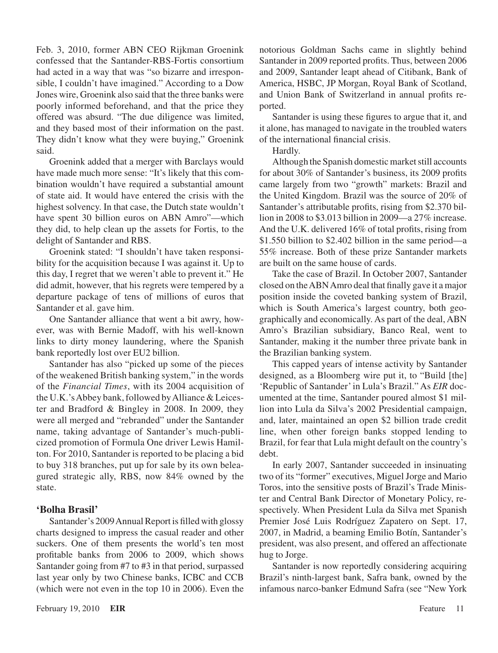Feb. 3, 2010, former ABN CEO Rijkman Groenink confessed that the Santander-RBS-Fortis consortium had acted in a way that was "so bizarre and irresponsible, I couldn't have imagined." According to a Dow Jones wire, Groenink also said that the three banks were poorly informed beforehand, and that the price they offered was absurd. "The due diligence was limited, and they based most of their information on the past. They didn't know what they were buying," Groenink said.

Groenink added that a merger with Barclays would have made much more sense: "It's likely that this combination wouldn't have required a substantial amount of state aid. It would have entered the crisis with the highest solvency. In that case, the Dutch state wouldn't have spent 30 billion euros on ABN Amro"—which they did, to help clean up the assets for Fortis, to the delight of Santander and RBS.

Groenink stated: "I shouldn't have taken responsibility for the acquisition because I was against it. Up to this day, I regret that we weren't able to prevent it." He did admit, however, that his regrets were tempered by a departure package of tens of millions of euros that Santander et al. gave him.

One Santander alliance that went a bit awry, however, was with Bernie Madoff, with his well-known links to dirty money laundering, where the Spanish bank reportedly lost over EU2 billion.

Santander has also "picked up some of the pieces of the weakened British banking system," in the words of the *Financial Times*, with its 2004 acquisition of the U.K.'s Abbey bank, followed by Alliance  $& \text{Leices-}$ ter and Bradford & Bingley in 2008. In 2009, they were all merged and "rebranded" under the Santander name, taking advantage of Santander's much-publicized promotion of Formula One driver Lewis Hamilton. For 2010, Santander is reported to be placing a bid to buy 318 branches, put up for sale by its own beleagured strategic ally, RBS, now 84% owned by the state.

### **'Bolha Brasil'**

Santander's 2009 Annual Report is filled with glossy charts designed to impress the casual reader and other suckers. One of them presents the world's ten most profitable banks from 2006 to 2009, which shows Santander going from #7 to #3 in that period, surpassed last year only by two Chinese banks, ICBC and CCB (which were not even in the top 10 in 2006). Even the notorious Goldman Sachs came in slightly behind Santander in 2009 reported profits. Thus, between 2006 and 2009, Santander leapt ahead of Citibank, Bank of America, HSBC, JP Morgan, Royal Bank of Scotland, and Union Bank of Switzerland in annual profits reported.

Santander is using these figures to argue that it, and it alone, has managed to navigate in the troubled waters of the international financial crisis.

Hardly.

Although the Spanish domestic market still accounts for about 30% of Santander's business, its 2009 profits came largely from two "growth" markets: Brazil and the United Kingdom. Brazil was the source of 20% of Santander's attributable profits, rising from \$2.370 billion in 2008 to \$3.013 billion in 2009—a 27% increase. And the U.K. delivered 16% of total profits, rising from \$1.550 billion to \$2.402 billion in the same period—a 55% increase. Both of these prize Santander markets are built on the same house of cards.

Take the case of Brazil. In October 2007, Santander closed on theABNAmro deal that finally gave it a major position inside the coveted banking system of Brazil, which is South America's largest country, both geographically and economically. As part of the deal, ABN Amro's Brazilian subsidiary, Banco Real, went to Santander, making it the number three private bank in the Brazilian banking system.

This capped years of intense activity by Santander designed, as a Bloomberg wire put it, to "Build [the] 'Republic of Santander'in Lula's Brazil." As *EIR* documented at the time, Santander poured almost \$1 million into Lula da Silva's 2002 Presidential campaign, and, later, maintained an open \$2 billion trade credit line, when other foreign banks stopped lending to Brazil, for fear that Lula might default on the country's debt.

In early 2007, Santander succeeded in insinuating two of its "former" executives, Miguel Jorge and Mario Toros, into the sensitive posts of Brazil's Trade Minister and Central Bank Director of Monetary Policy, respectively. When President Lula da Silva met Spanish Premier José Luis Rodríguez Zapatero on Sept. 17, 2007, in Madrid, a beaming Emilio Botín, Santander's president, was also present, and offered an affectionate hug to Jorge.

Santander is now reportedly considering acquiring Brazil's ninth-largest bank, Safra bank, owned by the infamous narco-banker Edmund Safra (see "New York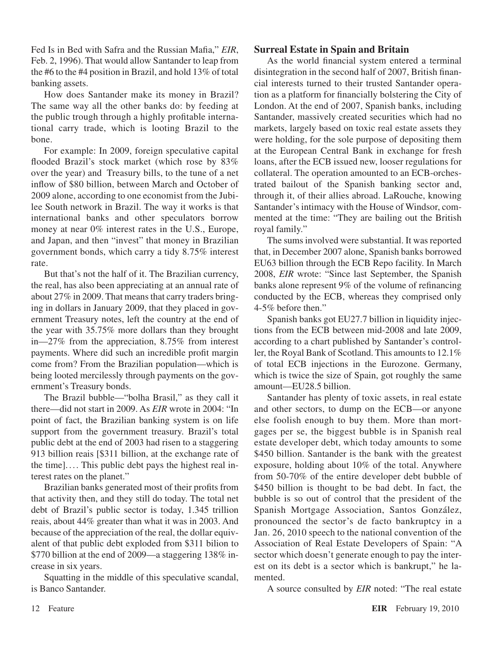Fed Is in Bed with Safra and the Russian Mafia," *EIR*, Feb. 2, 1996). That would allow Santander to leap from the #6 to the #4 position in Brazil, and hold 13% of total banking assets.

How does Santander make its money in Brazil? The same way all the other banks do: by feeding at the public trough through a highly profitable international carry trade, which is looting Brazil to the bone.

For example: In 2009, foreign speculative capital flooded Brazil's stock market (which rose by 83% over the year) and Treasury bills, to the tune of a net inflow of \$80 billion, between March and October of 2009 alone, according to one economist from the Jubilee South network in Brazil. The way it works is that international banks and other speculators borrow money at near 0% interest rates in the U.S., Europe, and Japan, and then "invest" that money in Brazilian government bonds, which carry a tidy 8.75% interest rate.

But that's not the half of it. The Brazilian currency, the real, has also been appreciating at an annual rate of about 27% in 2009. That means that carry traders bringing in dollars in January 2009, that they placed in government Treasury notes, left the country at the end of the year with 35.75% more dollars than they brought in—27% from the appreciation, 8.75% from interest payments. Where did such an incredible profit margin come from? From the Brazilian population—which is being looted mercilessly through payments on the government's Treasury bonds.

The Brazil bubble—"bolha Brasil," as they call it there—did not start in 2009. As *EIR* wrote in 2004: "In point of fact, the Brazilian banking system is on life support from the government treasury. Brazil's total public debt at the end of 2003 had risen to a staggering 913 billion reais [\$311 billion, at the exchange rate of the time].... This public debt pays the highest real interest rates on the planet."

Brazilian banks generated most of their profits from that activity then, and they still do today. The total net debt of Brazil's public sector is today, 1.345 trillion reais, about 44% greater than what it was in 2003. And because of the appreciation of the real, the dollar equivalent of that public debt exploded from \$311 bilion to \$770 billion at the end of 2009—a staggering 138% increase in six years.

Squatting in the middle of this speculative scandal, is Banco Santander.

## **Surreal Estate in Spain and Britain**

As the world financial system entered a terminal disintegration in the second half of 2007, British financial interests turned to their trusted Santander operation as a platform for financially bolstering the City of London. At the end of 2007, Spanish banks, including Santander, massively created securities which had no markets, largely based on toxic real estate assets they were holding, for the sole purpose of depositing them at the European Central Bank in exchange for fresh loans, after the ECB issued new, looser regulations for collateral. The operation amounted to an ECB-orchestrated bailout of the Spanish banking sector and, through it, of their allies abroad. LaRouche, knowing Santander's intimacy with the House of Windsor, commented at the time: "They are bailing out the British royal family."

The sums involved were substantial. It was reported that, in December 2007 alone, Spanish banks borrowed EU63 billion through the ECB Repo facility. In March 2008, *EIR* wrote: "Since last September, the Spanish banks alone represent 9% of the volume of refinancing conducted by the ECB, whereas they comprised only 4-5% before then."

Spanish banks got EU27.7 billion in liquidity injections from the ECB between mid-2008 and late 2009, according to a chart published by Santander's controller, the Royal Bank of Scotland. This amounts to 12.1% of total ECB injections in the Eurozone. Germany, which is twice the size of Spain, got roughly the same amount—EU28.5 billion.

Santander has plenty of toxic assets, in real estate and other sectors, to dump on the ECB—or anyone else foolish enough to buy them. More than mortgages per se, the biggest bubble is in Spanish real estate developer debt, which today amounts to some \$450 billion. Santander is the bank with the greatest exposure, holding about 10% of the total. Anywhere from 50-70% of the entire developer debt bubble of \$450 billion is thought to be bad debt. In fact, the bubble is so out of control that the president of the Spanish Mortgage Association, Santos González, pronounced the sector's de facto bankruptcy in a Jan. 26, 2010 speech to the national convention of the Association of Real Estate Developers of Spain: "A sector which doesn't generate enough to pay the interest on its debt is a sector which is bankrupt," he lamented.

A source consulted by *EIR* noted: "The real estate